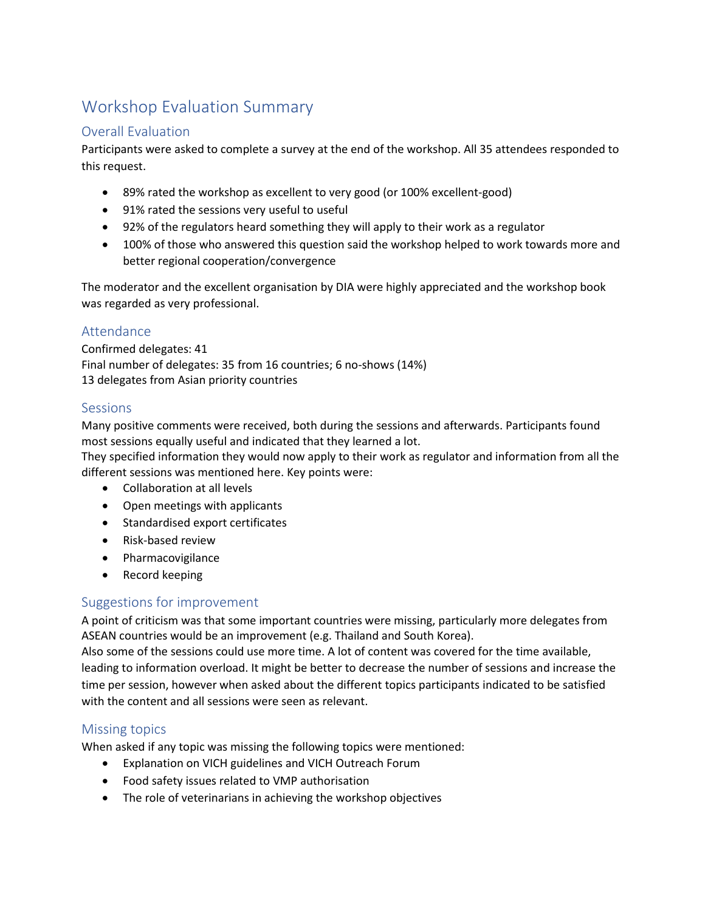# Workshop Evaluation Summary

## Overall Evaluation

Participants were asked to complete a survey at the end of the workshop. All 35 attendees responded to this request.

- 89% rated the workshop as excellent to very good (or 100% excellent-good)
- 91% rated the sessions very useful to useful
- 92% of the regulators heard something they will apply to their work as a regulator
- 100% of those who answered this question said the workshop helped to work towards more and better regional cooperation/convergence

The moderator and the excellent organisation by DIA were highly appreciated and the workshop book was regarded as very professional.

## Attendance

Confirmed delegates: 41 Final number of delegates: 35 from 16 countries; 6 no-shows (14%) 13 delegates from Asian priority countries

### Sessions

Many positive comments were received, both during the sessions and afterwards. Participants found most sessions equally useful and indicated that they learned a lot.

They specified information they would now apply to their work as regulator and information from all the different sessions was mentioned here. Key points were:

- Collaboration at all levels
- Open meetings with applicants
- Standardised export certificates
- Risk-based review
- Pharmacovigilance
- Record keeping

### Suggestions for improvement

A point of criticism was that some important countries were missing, particularly more delegates from ASEAN countries would be an improvement (e.g. Thailand and South Korea).

Also some of the sessions could use more time. A lot of content was covered for the time available, leading to information overload. It might be better to decrease the number of sessions and increase the time per session, however when asked about the different topics participants indicated to be satisfied with the content and all sessions were seen as relevant.

### Missing topics

When asked if any topic was missing the following topics were mentioned:

- Explanation on VICH guidelines and VICH Outreach Forum
- Food safety issues related to VMP authorisation
- The role of veterinarians in achieving the workshop objectives